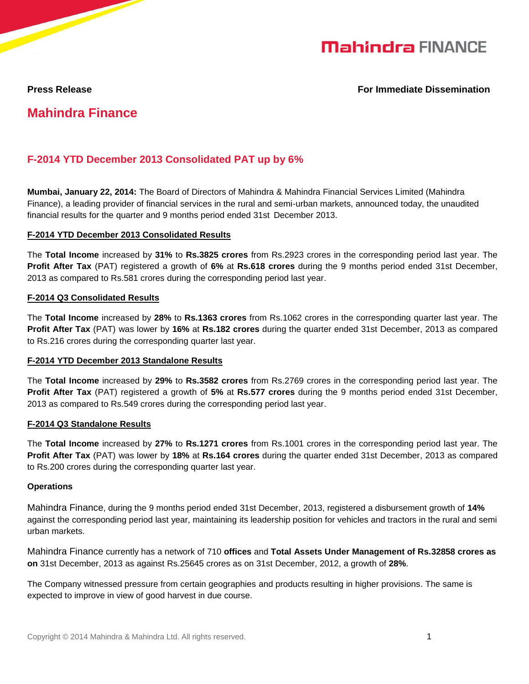

#### **Press Release For Immediate Dissemination**

# **Mahindra Finance**

## **F-2014 YTD December 2013 Consolidated PAT up by 6%**

**Mumbai, January 22, 2014:** The Board of Directors of Mahindra & Mahindra Financial Services Limited (Mahindra Finance), a leading provider of financial services in the rural and semi-urban markets, announced today, the unaudited financial results for the quarter and 9 months period ended 31st December 2013.

#### **F-2014 YTD December 2013 Consolidated Results**

The **Total Income** increased by **31%** to **Rs.3825 crores** from Rs.2923 crores in the corresponding period last year. The **Profit After Tax** (PAT) registered a growth of **6%** at **Rs.618 crores** during the 9 months period ended 31st December, 2013 as compared to Rs.581 crores during the corresponding period last year.

#### **F-2014 Q3 Consolidated Results**

The **Total Income** increased by **28%** to **Rs.1363 crores** from Rs.1062 crores in the corresponding quarter last year. The **Profit After Tax** (PAT) was lower by **16%** at **Rs.182 crores** during the quarter ended 31st December, 2013 as compared to Rs.216 crores during the corresponding quarter last year.

#### **F-2014 YTD December 2013 Standalone Results**

The **Total Income** increased by **29%** to **Rs.3582 crores** from Rs.2769 crores in the corresponding period last year. The **Profit After Tax** (PAT) registered a growth of **5%** at **Rs.577 crores** during the 9 months period ended 31st December, 2013 as compared to Rs.549 crores during the corresponding period last year.

#### **F-2014 Q3 Standalone Results**

The **Total Income** increased by **27%** to **Rs.1271 crores** from Rs.1001 crores in the corresponding period last year. The **Profit After Tax** (PAT) was lower by **18%** at **Rs.164 crores** during the quarter ended 31st December, 2013 as compared to Rs.200 crores during the corresponding quarter last year.

#### **Operations**

Mahindra Finance, during the 9 months period ended 31st December, 2013, registered a disbursement growth of **14%**  against the corresponding period last year, maintaining its leadership position for vehicles and tractors in the rural and semi urban markets.

Mahindra Finance currently has a network of 710 **offices** and **Total Assets Under Management of Rs.32858 crores as on** 31st December, 2013 as against Rs.25645 crores as on 31st December, 2012, a growth of **28%**.

The Company witnessed pressure from certain geographies and products resulting in higher provisions. The same is expected to improve in view of good harvest in due course.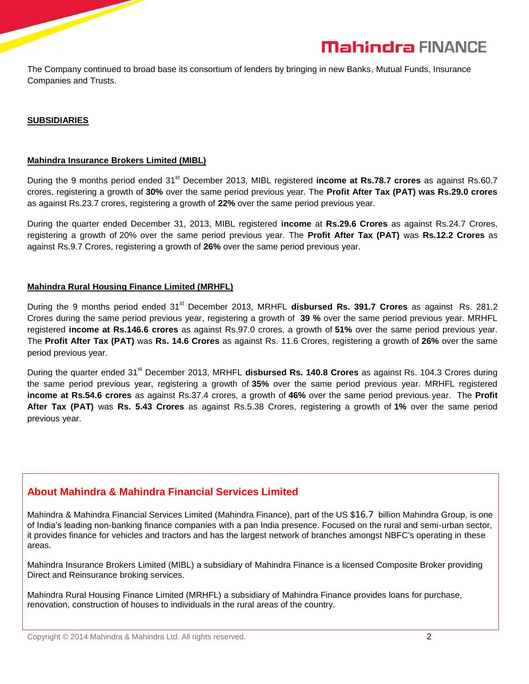

The Company continued to broad base its consortium of lenders by bringing in new Banks, Mutual Funds, Insurance Companies and Trusts.

#### **SUBSIDIARIES**

#### **Mahindra Insurance Brokers Limited (MIBL)**

During the 9 months period ended 31<sup>st</sup> December 2013, MIBL registered **income at Rs.78.7 crores** as against Rs.60.7 crores, registering a growth of **30%** over the same period previous year. The **Profit After Tax (PAT) was Rs.29.0 crores** as against Rs.23.7 crores, registering a growth of **22%** over the same period previous year.

During the quarter ended December 31, 2013, MIBL registered **income** at **Rs.29.6 Crores** as against Rs.24.7 Crores, registering a growth of 20% over the same period previous year. The **Profit After Tax (PAT)** was **Rs.12.2 Crores** as against Rs.9.7 Crores, registering a growth of **26%** over the same period previous year.

### **Mahindra Rural Housing Finance Limited (MRHFL)**

During the 9 months period ended 31<sup>st</sup> December 2013, MRHFL disbursed Rs. 391.7 Crores as against Rs. 281.2 Crores during the same period previous year, registering a growth of **39 %** over the same period previous year. MRHFL registered **income at Rs.146.6 crores** as against Rs.97.0 crores, a growth of **51%** over the same period previous year. The **Profit After Tax (PAT)** was **Rs. 14.6 Crores** as against Rs. 11.6 Crores, registering a growth of **26%** over the same period previous year.

During the quarter ended 31st December 2013, MRHFL **disbursed Rs. 140.8 Crores** as against Rs. 104.3 Crores during the same period previous year, registering a growth of **35%** over the same period previous year. MRHFL registered **income at Rs.54.6 crores** as against Rs.37.4 crores, a growth of **46%** over the same period previous year. The **Profit After Tax (PAT)** was **Rs. 5.43 Crores** as against Rs.5.38 Crores, registering a growth of **1%** over the same period previous year.

#### **About Mahindra & Mahindra Financial Services Limited**

Mahindra & Mahindra Financial Services Limited (Mahindra Finance), part of the US \$16.7 billion Mahindra Group, is one of India's leading non-banking finance companies with a pan India presence. Focused on the rural and semi-urban sector, it provides finance for vehicles and tractors and has the largest network of branches amongst NBFC's operating in these areas.

Mahindra Insurance Brokers Limited (MIBL) a subsidiary of Mahindra Finance is a licensed Composite Broker providing Direct and Reinsurance broking services.

Mahindra Rural Housing Finance Limited (MRHFL) a subsidiary of Mahindra Finance provides loans for purchase, renovation, construction of houses to individuals in the rural areas of the country.